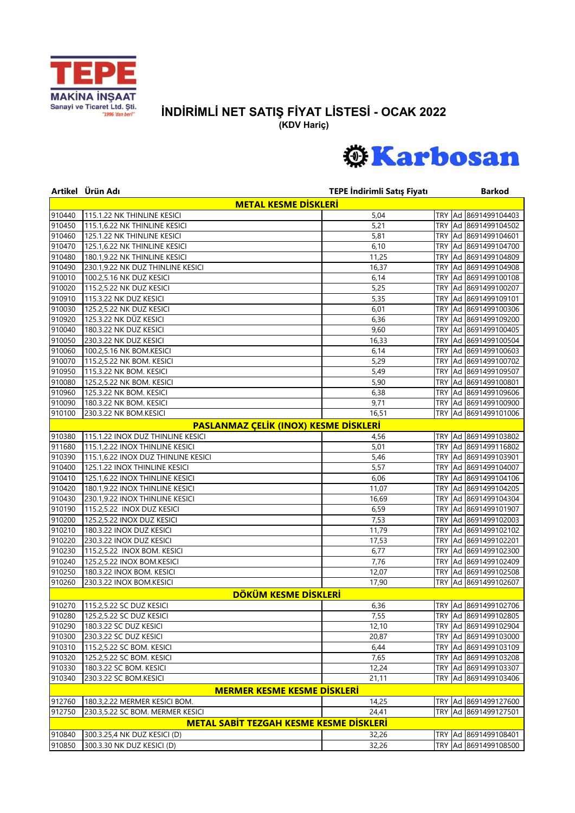

## **İNDİRİMLİ NET SATIŞ FİYAT LİSTESİ - OCAK 2022**

**(KDV Hariç)**



|        | Artikel Ürün Adı                               | TEPE İndirimli Satış Fiyatı |            | <b>Barkod</b>        |
|--------|------------------------------------------------|-----------------------------|------------|----------------------|
|        | <b>METAL KESME DİSKLERİ</b>                    |                             |            |                      |
| 910440 | 115.1.22 NK THINLINE KESICI                    | 5,04                        |            | TRY Ad 8691499104403 |
| 910450 | 115.1,6.22 NK THINLINE KESICI                  | 5,21                        | <b>TRY</b> | Ad 8691499104502     |
| 910460 | 125.1.22 NK THINLINE KESICI                    | 5,81                        | TRY        | Ad 8691499104601     |
| 910470 | 125.1,6.22 NK THINLINE KESICI                  | 6,10                        | <b>TRY</b> | Ad 8691499104700     |
| 910480 | 180.1,9.22 NK THINLINE KESICI                  | 11,25                       | TRY        | Ad 8691499104809     |
| 910490 | 230.1,9.22 NK DUZ THINLINE KESICI              | 16,37                       | TRY        | Ad 8691499104908     |
| 910010 | 100.2,5.16 NK DUZ KESICI                       | 6,14                        | <b>TRY</b> | Ad 8691499100108     |
| 910020 | 115.2,5.22 NK DUZ KESICI                       | 5,25                        | TRY        | Ad 8691499100207     |
| 910910 | 115.3.22 NK DUZ KESICI                         | 5,35                        | <b>TRY</b> | Ad 8691499109101     |
| 910030 | 125.2,5.22 NK DUZ KESICI                       | 6,01                        | TRY        | Ad 8691499100306     |
| 910920 | 125.3.22 NK DÜZ KESICI                         | 6,36                        | TRY        | Ad 8691499109200     |
| 910040 | 180.3.22 NK DUZ KESICI                         | 9,60                        | TRY        | Ad 8691499100405     |
| 910050 | 230.3.22 NK DUZ KESICI                         | 16,33                       | TRY        | Ad 8691499100504     |
| 910060 | 100.2,5.16 NK BOM.KESICI                       | 6,14                        | TRY        | Ad 8691499100603     |
| 910070 | 115.2,5.22 NK BOM. KESICI                      | 5,29                        | TRY        | Ad 8691499100702     |
| 910950 | 115.3.22 NK BOM. KESICI                        | 5,49                        | TRY        | Ad 8691499109507     |
| 910080 | 125.2,5.22 NK BOM. KESICI                      | 5,90                        | <b>TRY</b> | Ad 8691499100801     |
| 910960 | 125.3.22 NK BOM. KESICI                        | 6,38                        | TRY        | Ad 8691499109606     |
| 910090 | 180.3.22 NK BOM. KESICI                        | 9,71                        | <b>TRY</b> | Ad 8691499100900     |
| 910100 | 230.3.22 NK BOM.KESICI                         | 16,51                       | TRY        | Ad 8691499101006     |
|        | PASLANMAZ ÇELİK (INOX) KESME DİSKLERİ          |                             |            |                      |
| 910380 | 115.1.22 INOX DUZ THINLINE KESICI              | 4,56                        | TRY        | Ad 8691499103802     |
| 911680 | 115.1,2.22 INOX THINLINE KESICI                | 5,01                        | <b>TRY</b> | Ad 8691499116802     |
| 910390 | 115.1,6.22 INOX DUZ THINLINE KESICI            | 5,46                        | TRY        | Ad 8691499103901     |
| 910400 | 125.1.22 INOX THINLINE KESICI                  | 5,57                        | TRY        | Ad 8691499104007     |
| 910410 | 125.1,6.22 INOX THINLINE KESICI                | 6,06                        | TRY        | Ad 8691499104106     |
| 910420 | 180.1,9.22 INOX THINLINE KESICI                | 11,07                       | TRY        | Ad 8691499104205     |
| 910430 | 230.1,9.22 INOX THINLINE KESICI                | 16,69                       | TRY        | Ad 8691499104304     |
| 910190 | 115.2,5.22 INOX DUZ KESICI                     | 6,59                        | TRY        | Ad 8691499101907     |
| 910200 | 125.2,5.22 INOX DUZ KESICI                     | 7,53                        | TRY        | Ad 8691499102003     |
| 910210 | 180.3.22 INOX DUZ KESICI                       | 11,79                       | TRY        | Ad 8691499102102     |
| 910220 | 230.3.22 INOX DUZ KESICI                       | 17,53                       | TRY        | Ad 8691499102201     |
| 910230 | 115.2,5.22 INOX BOM. KESICI                    | 6,77                        | TRY        | Ad 8691499102300     |
| 910240 | 125.2,5.22 INOX BOM.KESICI                     | 7,76                        | TRY        | Ad 8691499102409     |
| 910250 | 180.3.22 INOX BOM. KESICI                      | 12,07                       | TRY        | Ad 8691499102508     |
| 910260 | 230.3.22 INOX BOM.KESICI                       | 17,90                       | <b>TRY</b> | Ad 8691499102607     |
|        | DÖKÜM KESME DİSKLERİ                           |                             |            |                      |
| 910270 | 115.2,5.22 SC DUZ KESICI                       | 6,36                        |            | TRY Ad 8691499102706 |
| 910280 | 125.2,5.22 SC DUZ KESICI                       | 7,55                        |            | TRY Ad 8691499102805 |
| 910290 | 180.3.22 SC DUZ KESICI                         | 12,10                       |            | TRY Ad 8691499102904 |
| 910300 | 230.3.22 SC DUZ KESICI                         | 20,87                       |            | TRY Ad 8691499103000 |
| 910310 | 115.2,5.22 SC BOM. KESICI                      | 6,44                        |            | TRY Ad 8691499103109 |
| 910320 | 125.2,5.22 SC BOM. KESICI                      | 7,65                        |            | TRY Ad 8691499103208 |
| 910330 | 180.3.22 SC BOM. KESICI                        | 12,24                       |            | TRY Ad 8691499103307 |
| 910340 | 230.3.22 SC BOM.KESICI                         | 21,11                       | TRY        | Ad 8691499103406     |
|        | <b>MERMER KESME KESME DISKLERI</b>             |                             |            |                      |
| 912760 | 180.3,2.22 MERMER KESICI BOM.                  | 14,25                       |            | TRY Ad 8691499127600 |
| 912750 | 230.3,5.22 SC BOM. MERMER KESICI               | 24,41                       |            | TRY Ad 8691499127501 |
|        | <b>METAL SABIT TEZGAH KESME KESME DISKLERI</b> |                             |            |                      |
| 910840 | 300.3.25,4 NK DUZ KESICI (D)                   | 32,26                       |            | TRY Ad 8691499108401 |
| 910850 | 300.3.30 NK DUZ KESICI (D)                     | 32,26                       |            | TRY Ad 8691499108500 |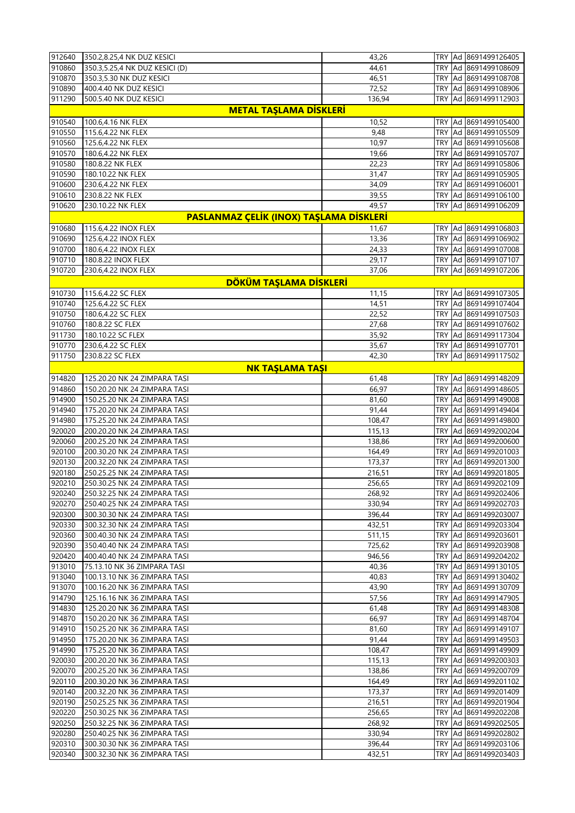| 912640 | 350.2,8.25,4 NK DUZ KESICI              | 43,26  |            | TRY Ad 8691499126405     |
|--------|-----------------------------------------|--------|------------|--------------------------|
| 910860 | 350.3,5.25,4 NK DUZ KESICI (D)          | 44,61  |            | TRY Ad 8691499108609     |
| 910870 | 350.3,5.30 NK DUZ KESICI                | 46,51  |            | TRY Ad 8691499108708     |
| 910890 | 400.4.40 NK DUZ KESICI                  | 72,52  |            | TRY Ad 8691499108906     |
| 911290 | 500.5.40 NK DUZ KESICI                  | 136,94 |            | TRY Ad 8691499112903     |
|        | <b>METAL TAŞLAMA DİSKLERİ</b>           |        |            |                          |
| 910540 | 100.6,4.16 NK FLEX                      | 10,52  |            | TRY Ad 8691499105400     |
| 910550 | 115.6,4.22 NK FLEX                      | 9,48   |            | TRY Ad 8691499105509     |
| 910560 | 125.6,4.22 NK FLEX                      | 10,97  |            | TRY Ad 8691499105608     |
| 910570 | 180.6,4.22 NK FLEX                      | 19,66  |            | TRY Ad 8691499105707     |
| 910580 |                                         |        |            |                          |
|        | 180.8.22 NK FLEX                        | 22,23  |            | TRY Ad 8691499105806     |
| 910590 | 180.10.22 NK FLEX                       | 31,47  |            | TRY   Ad   8691499105905 |
| 910600 | 230.6,4.22 NK FLEX                      | 34,09  |            | TRY Ad 8691499106001     |
| 910610 | 230.8.22 NK FLEX                        | 39,55  |            | TRY Ad 8691499106100     |
| 910620 | 230.10.22 NK FLEX                       | 49,57  |            | TRY Ad 8691499106209     |
|        | PASLANMAZ ÇELİK (INOX) TAŞLAMA DİSKLERİ |        |            |                          |
| 910680 | 115.6,4.22 INOX FLEX                    | 11,67  |            | TRY Ad 8691499106803     |
| 910690 | 125.6,4.22 INOX FLEX                    | 13,36  |            | TRY Ad 8691499106902     |
| 910700 | 180.6,4.22 INOX FLEX                    | 24,33  |            | TRY Ad 8691499107008     |
| 910710 | 180.8.22 INOX FLEX                      | 29,17  |            | TRY Ad 8691499107107     |
| 910720 | 230.6,4.22 INOX FLEX                    | 37,06  |            | TRY Ad 8691499107206     |
|        | DÖKÜM TAŞLAMA DİSKLERİ                  |        |            |                          |
| 910730 | 115.6,4.22 SC FLEX                      | 11,15  |            | TRY Ad 8691499107305     |
| 910740 | 125.6,4.22 SC FLEX                      | 14,51  |            | TRY Ad 8691499107404     |
| 910750 |                                         |        |            | TRY Ad 8691499107503     |
|        | 180.6,4.22 SC FLEX                      | 22,52  |            |                          |
| 910760 | 180.8.22 SC FLEX                        | 27,68  |            | TRY Ad 8691499107602     |
| 911730 | 180.10.22 SC FLEX                       | 35,92  |            | TRY Ad 8691499117304     |
| 910770 | 230.6,4.22 SC FLEX                      | 35,67  |            | TRY Ad 8691499107701     |
| 911750 | 230.8.22 SC FLEX                        | 42,30  |            | TRY Ad 8691499117502     |
|        | <b>NK TAŞLAMA TAŞI</b>                  |        |            |                          |
| 914820 | 125.20.20 NK 24 ZIMPARA TASI            | 61,48  | TRY Ad     | 8691499148209            |
| 914860 | 150.20.20 NK 24 ZIMPARA TASI            | 66,97  |            | TRY Ad 8691499148605     |
| 914900 | 150.25.20 NK 24 ZIMPARA TASI            | 81,60  |            | TRY Ad 8691499149008     |
| 914940 | 175.20.20 NK 24 ZIMPARA TASI            | 91,44  |            | TRY Ad 8691499149404     |
| 914980 | 175.25.20 NK 24 ZIMPARA TASI            | 108,47 |            | TRY Ad 8691499149800     |
| 920020 | 200.20.20 NK 24 ZIMPARA TASI            | 115,13 | <b>TRY</b> | Ad 8691499200204         |
| 920060 | 200.25.20 NK 24 ZIMPARA TASI            | 138,86 |            | TRY Ad 8691499200600     |
| 920100 | 200.30.20 NK 24 ZIMPARA TASI            | 164,49 |            | TRY Ad 8691499201003     |
| 920130 | 200.32.20 NK 24 ZIMPARA TASI            | 173,37 |            | TRY Ad 8691499201300     |
| 920180 | 250.25.25 NK 24 ZIMPARA TASI            | 216,51 |            | TRY Ad 8691499201805     |
| 920210 | 250.30.25 NK 24 ZIMPARA TASI            | 256,65 |            | TRY Ad 8691499202109     |
| 920240 | 250.32.25 NK 24 ZIMPARA TASI            | 268,92 |            | TRY   Ad   8691499202406 |
| 920270 | 250.40.25 NK 24 ZIMPARA TASI            | 330,94 |            | TRY Ad 8691499202703     |
| 920300 | 300.30.30 NK 24 ZIMPARA TASI            | 396,44 |            | TRY Ad 8691499203007     |
|        |                                         |        |            |                          |
| 920330 | 300.32.30 NK 24 ZIMPARA TASI            | 432,51 |            | TRY Ad 8691499203304     |
| 920360 | 300.40.30 NK 24 ZIMPARA TASI            | 511,15 |            | TRY Ad 8691499203601     |
| 920390 | 350.40.40 NK 24 ZIMPARA TASI            | 725,62 |            | TRY   Ad   8691499203908 |
| 920420 | 400.40.40 NK 24 ZIMPARA TASI            | 946,56 |            | TRY   Ad   8691499204202 |
| 913010 | 75.13.10 NK 36 ZIMPARA TASI             | 40,36  |            | TRY Ad 8691499130105     |
| 913040 | 100.13.10 NK 36 ZIMPARA TASI            | 40,83  |            | TRY Ad 8691499130402     |
| 913070 | 100.16.20 NK 36 ZIMPARA TASI            | 43,90  |            | TRY Ad 8691499130709     |
| 914790 | 125.16.16 NK 36 ZIMPARA TASI            | 57,56  |            | TRY Ad 8691499147905     |
| 914830 | 125.20.20 NK 36 ZIMPARA TASI            | 61,48  |            | TRY Ad 8691499148308     |
| 914870 | 150.20.20 NK 36 ZIMPARA TASI            | 66,97  |            | TRY Ad 8691499148704     |
| 914910 | 150.25.20 NK 36 ZIMPARA TASI            | 81,60  |            | TRY Ad 8691499149107     |
| 914950 | 175.20.20 NK 36 ZIMPARA TASI            | 91,44  |            | TRY Ad 8691499149503     |
| 914990 | 175.25.20 NK 36 ZIMPARA TASI            | 108,47 |            | TRY Ad 8691499149909     |
| 920030 | 200.20.20 NK 36 ZIMPARA TASI            | 115,13 |            | TRY   Ad   8691499200303 |
| 920070 | 200.25.20 NK 36 ZIMPARA TASI            | 138,86 |            | TRY Ad 8691499200709     |
| 920110 | 200.30.20 NK 36 ZIMPARA TASI            | 164,49 |            | TRY Ad 8691499201102     |
| 920140 | 200.32.20 NK 36 ZIMPARA TASI            | 173,37 |            | TRY Ad 8691499201409     |
| 920190 | 250.25.25 NK 36 ZIMPARA TASI            | 216,51 |            | TRY Ad 8691499201904     |
| 920220 | 250.30.25 NK 36 ZIMPARA TASI            | 256,65 |            | TRY Ad 8691499202208     |
| 920250 | 250.32.25 NK 36 ZIMPARA TASI            | 268,92 |            | TRY Ad 8691499202505     |
| 920280 | 250.40.25 NK 36 ZIMPARA TASI            | 330,94 |            | TRY Ad 8691499202802     |
| 920310 | 300.30.30 NK 36 ZIMPARA TASI            | 396,44 |            | TRY Ad 8691499203106     |
| 920340 | 300.32.30 NK 36 ZIMPARA TASI            | 432,51 |            | TRY Ad 8691499203403     |
|        |                                         |        |            |                          |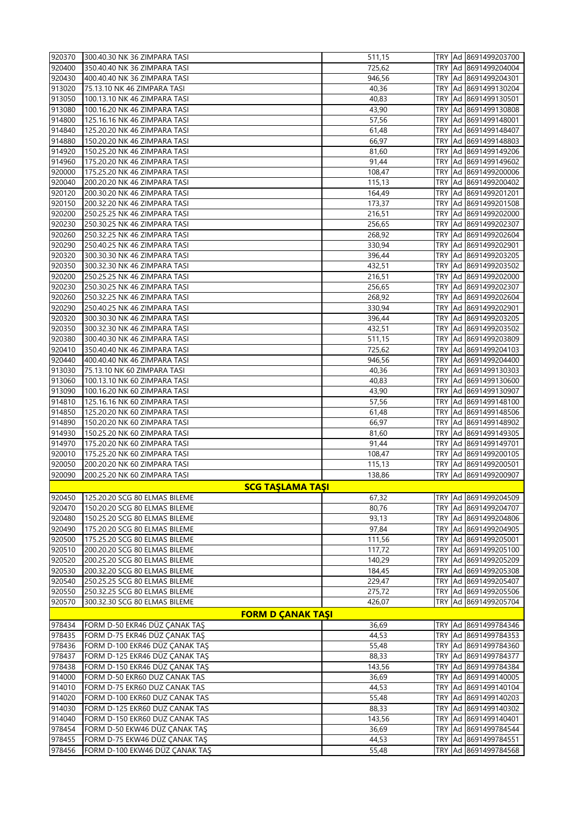| 920370           | 300.40.30 NK 36 ZIMPARA TASI                                   | 511,15           |            | TRY   Ad   8691499203700                     |
|------------------|----------------------------------------------------------------|------------------|------------|----------------------------------------------|
| 920400           | 350.40.40 NK 36 ZIMPARA TASI                                   | 725,62           |            | TRY   Ad   8691499204004                     |
| 920430           | 400.40.40 NK 36 ZIMPARA TASI                                   | 946,56           | TRY        | Ad 8691499204301                             |
| 913020           | 75.13.10 NK 46 ZIMPARA TASI                                    | 40,36            |            | TRY Ad 8691499130204                         |
| 913050           | 100.13.10 NK 46 ZIMPARA TASI                                   | 40,83            | TRY        | Ad 8691499130501                             |
| 913080           | 100.16.20 NK 46 ZIMPARA TASI                                   | 43,90            |            | TRY   Ad   8691499130808                     |
| 914800           | 125.16.16 NK 46 ZIMPARA TASI                                   | 57,56            | TRY        | Ad 8691499148001                             |
| 914840           | 125.20.20 NK 46 ZIMPARA TASI                                   | 61,48            | TRY        | Ad 8691499148407                             |
| 914880           | 150.20.20 NK 46 ZIMPARA TASI                                   | 66,97            | TRY        | Ad 8691499148803                             |
| 914920           | 150.25.20 NK 46 ZIMPARA TASI                                   | 81,60            | TRY        | Ad 8691499149206                             |
| 914960           | 175.20.20 NK 46 ZIMPARA TASI                                   | 91,44            |            | TRY   Ad   8691499149602                     |
| 920000           | 175.25.20 NK 46 ZIMPARA TASI                                   | 108,47           | TRY        | Ad 8691499200006                             |
| 920040           | 200.20.20 NK 46 ZIMPARA TASI                                   | 115,13           | TRY        | Ad 8691499200402                             |
| 920120           | 200.30.20 NK 46 ZIMPARA TASI                                   | 164,49           | TRY        | Ad 8691499201201                             |
| 920150           | 200.32.20 NK 46 ZIMPARA TASI                                   | 173,37           | TRY        | Ad 8691499201508                             |
| 920200           | 250.25.25 NK 46 ZIMPARA TASI                                   | 216,51           |            | TRY   Ad   8691499202000                     |
| 920230           | 250.30.25 NK 46 ZIMPARA TASI                                   | 256,65           | TRY        | Ad 8691499202307                             |
| 920260           | 250.32.25 NK 46 ZIMPARA TASI                                   | 268,92           | TRY        | Ad 8691499202604                             |
| 920290           | 250.40.25 NK 46 ZIMPARA TASI                                   | 330,94           | TRY        | Ad 8691499202901                             |
| 920320           | 300.30.30 NK 46 ZIMPARA TASI                                   | 396,44           | TRY        | Ad 8691499203205                             |
| 920350           | 300.32.30 NK 46 ZIMPARA TASI                                   | 432,51           |            | TRY   Ad   8691499203502                     |
| 920200           | 250.25.25 NK 46 ZIMPARA TASI                                   | 216,51           | TRY        | Ad 8691499202000                             |
| 920230           | 250.30.25 NK 46 ZIMPARA TASI                                   | 256,65           | TRY        | Ad 8691499202307                             |
| 920260           | 250.32.25 NK 46 ZIMPARA TASI                                   | 268,92           | TRY        | Ad 8691499202604                             |
| 920290           | 250.40.25 NK 46 ZIMPARA TASI                                   | 330,94           | TRY        | Ad 8691499202901                             |
| 920320           | 300.30.30 NK 46 ZIMPARA TASI                                   | 396,44           |            | TRY   Ad   8691499203205                     |
| 920350           | 300.32.30 NK 46 ZIMPARA TASI                                   | 432,51           | TRY        | Ad 8691499203502                             |
| 920380           | 300.40.30 NK 46 ZIMPARA TASI                                   | 511,15           | TRY        | Ad 8691499203809                             |
| 920410           | 350.40.40 NK 46 ZIMPARA TASI                                   | 725,62           | TRY        | Ad 8691499204103                             |
| 920440           | 400.40.40 NK 46 ZIMPARA TASI                                   | 946,56           | TRY        | Ad 8691499204400                             |
| 913030           | 75.13.10 NK 60 ZIMPARA TASI                                    | 40,36            |            | TRY   Ad   8691499130303                     |
| 913060           | 100.13.10 NK 60 ZIMPARA TASI                                   | 40,83            | TRY        | Ad 8691499130600                             |
| 913090           | 100.16.20 NK 60 ZIMPARA TASI                                   | 43,90            | TRY        | Ad 8691499130907                             |
| 914810           | 125.16.16 NK 60 ZIMPARA TASI                                   | 57,56            | TRY        | Ad 8691499148100                             |
| 914850           | 125.20.20 NK 60 ZIMPARA TASI                                   | 61,48            | TRY        | Ad 8691499148506                             |
| 914890           | 150.20.20 NK 60 ZIMPARA TASI                                   | 66,97            |            | TRY Ad 8691499148902                         |
| 914930           | 150.25.20 NK 60 ZIMPARA TASI                                   | 81,60            | TRY        | Ad 8691499149305                             |
| 914970           | 175.20.20 NK 60 ZIMPARA TASI                                   | 91,44            | TRY        | Ad 8691499149701                             |
| 920010           | 175.25.20 NK 60 ZIMPARA TASI                                   | 108,47           | TRY        | Ad 8691499200105                             |
| 920050           | 200.20.20 NK 60 ZIMPARA TASI                                   | 115,13           | TRY        | Ad 8691499200501                             |
| 920090           | 200.25.20 NK 60 ZIMPARA TASI                                   | 138,86           |            | TRY Ad 8691499200907                         |
|                  | <b>SCG TAŞLAMA TAŞI</b>                                        |                  |            |                                              |
| 920450           | 125.20.20 SCG 80 ELMAS BILEME                                  | 67,32            |            | TRY Ad 8691499204509                         |
| 920470           | 150.20.20 SCG 80 ELMAS BILEME                                  | 80,76            |            | TRY Ad 8691499204707                         |
| 920480           | 150.25.20 SCG 80 ELMAS BILEME                                  | 93,13            |            | TRY Ad 8691499204806                         |
| 920490           | 175.20.20 SCG 80 ELMAS BILEME                                  | 97,84            |            | TRY Ad 8691499204905                         |
| 920500           | 175.25.20 SCG 80 ELMAS BILEME                                  | 111,56           |            | TRY Ad 8691499205001                         |
| 920510           | 200.20.20 SCG 80 ELMAS BILEME                                  | 117,72           |            | TRY Ad 8691499205100                         |
| 920520           | 200.25.20 SCG 80 ELMAS BILEME                                  | 140,29           |            | TRY Ad 8691499205209                         |
| 920530<br>920540 | 200.32.20 SCG 80 ELMAS BILEME                                  | 184,45           | <b>TRY</b> | Ad 8691499205308                             |
|                  | 250.25.25 SCG 80 ELMAS BILEME                                  | 229,47           |            | TRY Ad 8691499205407                         |
| 920550           | 250.32.25 SCG 80 ELMAS BILEME<br>300.32.30 SCG 80 ELMAS BILEME | 275,72<br>426,07 |            | TRY   Ad   8691499205506                     |
| 920570           |                                                                |                  | TRY        | Ad 8691499205704                             |
|                  | <b>FORM D ÇANAK TAŞI</b>                                       |                  |            |                                              |
| 978434           | FORM D-50 EKR46 DÜZ ÇANAK TAŞ                                  | 36,69            |            | TRY Ad 8691499784346                         |
| 978435           | FORM D-75 EKR46 DÜZ ÇANAK TAŞ                                  | 44,53            |            | TRY Ad 8691499784353                         |
| 978436           | FORM D-100 EKR46 DÜZ ÇANAK TAŞ                                 | 55,48            |            | TRY Ad 8691499784360                         |
| 978437           | FORM D-125 EKR46 DÜZ ÇANAK TAŞ                                 | 88,33            |            | TRY Ad 8691499784377                         |
| 978438           | FORM D-150 EKR46 DÜZ ÇANAK TAŞ                                 | 143,56           |            | TRY Ad 8691499784384                         |
| 914000           | FORM D-50 EKR60 DUZ CANAK TAS                                  | 36,69            |            | TRY Ad 8691499140005                         |
| 914010           | FORM D-75 EKR60 DUZ CANAK TAS                                  | 44,53            |            | TRY Ad 8691499140104                         |
| 914020           | FORM D-100 EKR60 DUZ CANAK TAS                                 | 55,48            |            | TRY Ad 8691499140203                         |
| 914030           | FORM D-125 EKR60 DUZ CANAK TAS                                 | 88,33            | TRY        | Ad 8691499140302                             |
| 914040           | FORM D-150 EKR60 DUZ CANAK TAS                                 | 143,56           |            | TRY Ad 8691499140401                         |
| 978454<br>978455 | FORM D-50 EKW46 DÜZ ÇANAK TAŞ<br>FORM D-75 EKW46 DÜZ ÇANAK TAŞ | 36,69<br>44,53   |            | TRY Ad 8691499784544<br>TRY Ad 8691499784551 |
| 978456           | FORM D-100 EKW46 DÜZ ÇANAK TAŞ                                 |                  |            | TRY Ad 8691499784568                         |
|                  |                                                                | 55,48            |            |                                              |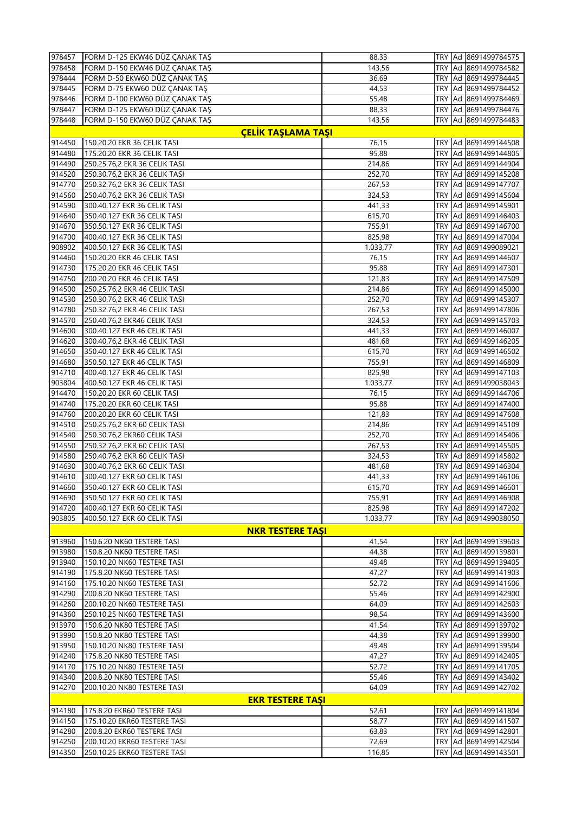| 978457 | FORM D-125 EKW46 DÜZ ÇANAK TAŞ                               | 88,33    |     | TRY Ad 8691499784575                         |
|--------|--------------------------------------------------------------|----------|-----|----------------------------------------------|
| 978458 | FORM D-150 EKW46 DÜZ ÇANAK TAŞ                               | 143,56   |     | TRY Ad 8691499784582                         |
| 978444 | FORM D-50 EKW60 DÜZ ÇANAK TAŞ                                | 36,69    |     | TRY Ad 8691499784445                         |
| 978445 | FORM D-75 EKW60 DÜZ ÇANAK TAŞ                                | 44,53    |     | TRY Ad 8691499784452                         |
| 978446 | FORM D-100 EKW60 DÜZ ÇANAK TAŞ                               | 55,48    |     | TRY Ad 8691499784469                         |
| 978447 | FORM D-125 EKW60 DÜZ ÇANAK TAŞ                               | 88,33    |     | TRY Ad 8691499784476                         |
| 978448 | FORM D-150 EKW60 DÜZ ÇANAK TAŞ                               | 143,56   |     | TRY Ad 8691499784483                         |
|        | <b>ÇELİK TAŞLAMA TAŞI</b>                                    |          |     |                                              |
| 914450 | 150.20.20 EKR 36 CELIK TASI                                  | 76,15    |     | TRY Ad 8691499144508                         |
| 914480 | 175.20.20 EKR 36 CELIK TASI                                  | 95,88    |     | TRY Ad 8691499144805                         |
| 914490 | 250.25.76,2 EKR 36 CELIK TASI                                | 214,86   |     | TRY Ad 8691499144904                         |
| 914520 | 250.30.76,2 EKR 36 CELIK TASI                                | 252,70   |     | TRY Ad 8691499145208                         |
| 914770 | 250.32.76,2 EKR 36 CELIK TASI                                | 267,53   |     | TRY Ad 8691499147707                         |
| 914560 | 250.40.76,2 EKR 36 CELIK TASI                                | 324,53   |     | TRY Ad 8691499145604                         |
| 914590 | 300.40.127 EKR 36 CELIK TASI                                 | 441,33   | TRY | Ad 8691499145901                             |
| 914640 | 350.40.127 EKR 36 CELIK TASI                                 | 615,70   |     | TRY Ad 8691499146403                         |
| 914670 | 350.50.127 EKR 36 CELIK TASI                                 | 755,91   |     | TRY Ad 8691499146700                         |
| 914700 |                                                              | 825,98   |     |                                              |
| 908902 | 400.40.127 EKR 36 CELIK TASI<br>400.50.127 EKR 36 CELIK TASI | 1.033,77 |     | TRY Ad 8691499147004<br>TRY Ad 8691499089021 |
| 914460 |                                                              |          |     | Ad 8691499144607                             |
|        | 150.20.20 EKR 46 CELIK TASI                                  | 76,15    | TRY |                                              |
| 914730 | 175.20.20 EKR 46 CELIK TASI                                  | 95,88    |     | TRY Ad 8691499147301                         |
| 914750 | 200.20.20 EKR 46 CELIK TASI                                  | 121,83   |     | TRY Ad 8691499147509                         |
| 914500 | 250.25.76,2 EKR 46 CELIK TASI                                | 214,86   |     | TRY Ad 8691499145000                         |
| 914530 | 250.30.76,2 EKR 46 CELIK TASI                                | 252,70   |     | TRY Ad 8691499145307                         |
| 914780 | 250.32.76,2 EKR 46 CELIK TASI                                | 267,53   | TRY | Ad 8691499147806                             |
| 914570 | 250.40.76,2 EKR46 CELIK TASI                                 | 324,53   |     | TRY Ad 8691499145703                         |
| 914600 | 300.40.127 EKR 46 CELIK TASI                                 | 441,33   |     | TRY Ad 8691499146007                         |
| 914620 | 300.40.76,2 EKR 46 CELIK TASI                                | 481,68   |     | TRY Ad 8691499146205                         |
| 914650 | 350.40.127 EKR 46 CELIK TASI                                 | 615,70   |     | TRY Ad 8691499146502                         |
| 914680 | 350.50.127 EKR 46 CELIK TASI                                 | 755,91   | TRY | Ad 8691499146809                             |
| 914710 | 400.40.127 EKR 46 CELIK TASI                                 | 825,98   |     | TRY Ad 8691499147103                         |
| 903804 | 400.50.127 EKR 46 CELIK TASI                                 | 1.033,77 |     | TRY Ad 8691499038043                         |
| 914470 | 150.20.20 EKR 60 CELIK TASI                                  | 76,15    |     | TRY Ad 8691499144706                         |
| 914740 | 175.20.20 EKR 60 CELIK TASI                                  | 95,88    |     | TRY Ad 8691499147400                         |
| 914760 | 200.20.20 EKR 60 CELIK TASI                                  | 121,83   | TRY | Ad 8691499147608                             |
| 914510 | 250.25.76,2 EKR 60 CELIK TASI                                | 214,86   |     | TRY Ad 8691499145109                         |
| 914540 | 250.30.76,2 EKR60 CELIK TASI                                 | 252,70   |     | TRY Ad 8691499145406                         |
| 914550 | 250.32.76,2 EKR 60 CELIK TASI                                | 267,53   |     | TRY Ad 8691499145505                         |
| 914580 | 250.40.76,2 EKR 60 CELIK TASI                                | 324,53   |     | TRY Ad 8691499145802                         |
| 914630 | 300.40.76,2 EKR 60 CELIK TASI                                | 481,68   | TRY | Ad 8691499146304                             |
| 914610 | 300.40.127 EKR 60 CELIK TASI                                 | 441,33   |     | TRY Ad 8691499146106                         |
| 914660 | 350.40.127 EKR 60 CELIK TASI                                 | 615,70   |     | TRY Ad 8691499146601                         |
| 914690 | 350.50.127 EKR 60 CELIK TASI                                 | 755,91   |     | TRY Ad 8691499146908                         |
| 914720 | 400.40.127 EKR 60 CELIK TASI                                 | 825,98   |     | TRY Ad 8691499147202                         |
| 903805 | 400.50.127 EKR 60 CELIK TASI                                 | 1.033,77 |     | TRY Ad 8691499038050                         |
|        | <b>NKR TESTERE TASI</b>                                      |          |     |                                              |
| 913960 | 150.6.20 NK60 TESTERE TASI                                   | 41,54    |     | TRY Ad 8691499139603                         |
| 913980 | 150.8.20 NK60 TESTERE TASI                                   | 44,38    |     | TRY Ad 8691499139801                         |
| 913940 | 150.10.20 NK60 TESTERE TASI                                  | 49,48    |     | TRY Ad 8691499139405                         |
| 914190 | 175.8.20 NK60 TESTERE TASI                                   | 47,27    |     | TRY Ad 8691499141903                         |
| 914160 | 175.10.20 NK60 TESTERE TASI                                  | 52,72    |     | TRY Ad 8691499141606                         |
| 914290 | 200.8.20 NK60 TESTERE TASI                                   | 55,46    |     | TRY Ad 8691499142900                         |
|        |                                                              |          |     |                                              |
| 914260 | 200.10.20 NK60 TESTERE TASI                                  | 64,09    |     | TRY Ad 8691499142603                         |
| 914360 | 250.10.25 NK60 TESTERE TASI                                  | 98,54    |     | TRY Ad 8691499143600                         |
| 913970 | 150.6.20 NK80 TESTERE TASI                                   | 41,54    |     | TRY Ad 8691499139702                         |
| 913990 | 150.8.20 NK80 TESTERE TASI                                   | 44,38    |     | TRY Ad 8691499139900                         |
| 913950 | 150.10.20 NK80 TESTERE TASI                                  | 49,48    |     | TRY Ad 8691499139504                         |
| 914240 | 175.8.20 NK80 TESTERE TASI                                   | 47,27    |     | TRY Ad 8691499142405                         |
| 914170 | 175.10.20 NK80 TESTERE TASI                                  | 52,72    |     | TRY Ad 8691499141705                         |
| 914340 | 200.8.20 NK80 TESTERE TASI                                   | 55,46    |     | TRY Ad 8691499143402                         |
| 914270 | 200.10.20 NK80 TESTERE TASI                                  | 64,09    |     | TRY Ad 8691499142702                         |
|        | <b>EKR TESTERE TAŞI</b>                                      |          |     |                                              |
| 914180 | 175.8.20 EKR60 TESTERE TASI                                  | 52,61    |     | TRY Ad 8691499141804                         |
| 914150 | 175.10.20 EKR60 TESTERE TASI                                 | 58,77    |     | TRY Ad 8691499141507                         |
| 914280 | 200.8.20 EKR60 TESTERE TASI                                  | 63,83    |     | TRY Ad 8691499142801                         |
| 914250 | 200.10.20 EKR60 TESTERE TASI                                 | 72,69    |     | TRY Ad 8691499142504                         |
| 914350 | 250.10.25 EKR60 TESTERE TASI                                 | 116,85   |     | TRY Ad 8691499143501                         |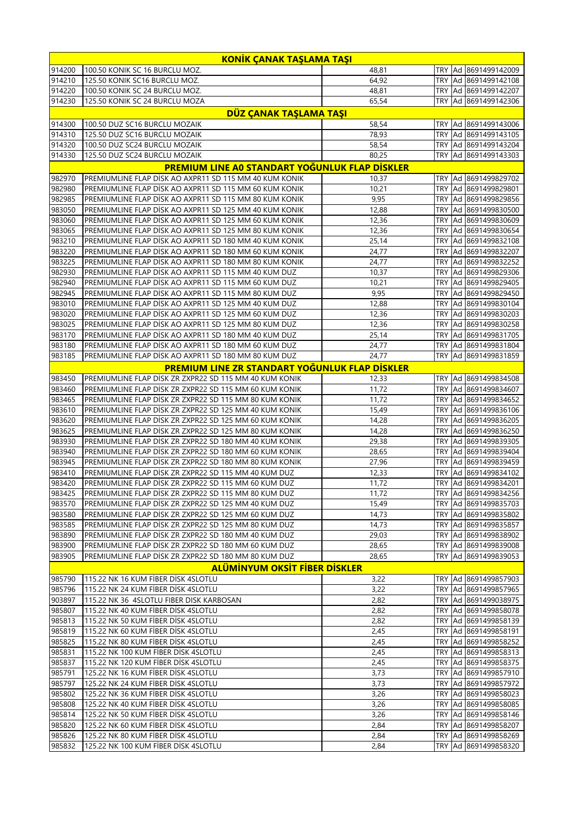| KONİK ÇANAK TAŞLAMA TAŞI |                                                                                                                  |                |            |  |                                                  |
|--------------------------|------------------------------------------------------------------------------------------------------------------|----------------|------------|--|--------------------------------------------------|
| 914200                   | 100.50 KONIK SC 16 BURCLU MOZ.                                                                                   | 48,81          | <b>TRY</b> |  | Ad 8691499142009                                 |
| 914210                   | 125.50 KONIK SC16 BURCLU MOZ.                                                                                    | 64,92          |            |  | TRY Ad 8691499142108                             |
| 914220                   | 100.50 KONIK SC 24 BURCLU MOZ.                                                                                   | 48,81          | <b>TRY</b> |  | Ad 8691499142207                                 |
| 914230                   | 125.50 KONIK SC 24 BURCLU MOZA                                                                                   | 65,54          | <b>TRY</b> |  | Ad 8691499142306                                 |
|                          | DÜZ ÇANAK TAŞLAMA TAŞI                                                                                           |                |            |  |                                                  |
| 914300<br>914310         | 100.50 DUZ SC16 BURCLU MOZAIK<br>125.50 DUZ SC16 BURCLU MOZAIK                                                   | 58,54<br>78,93 | TRY<br>TRY |  | Ad 8691499143006<br>Ad 8691499143105             |
| 914320                   | 100.50 DUZ SC24 BURCLU MOZAIK                                                                                    | 58,54          | TRY        |  | Ad 8691499143204                                 |
| 914330                   | 125.50 DUZ SC24 BURCLU MOZAIK                                                                                    | 80,25          | TRY        |  | Ad 8691499143303                                 |
|                          | PREMIUM LINE AO STANDART YOĞUNLUK FLAP DİSKLER                                                                   |                |            |  |                                                  |
| 982970                   | PREMIUMLINE FLAP DİSK AO AXPR11 SD 115 MM 40 KUM KONIK                                                           | 10,37          |            |  | TRY Ad 8691499829702                             |
| 982980                   | PREMIUMLINE FLAP DİSK AO AXPR11 SD 115 MM 60 KUM KONIK                                                           | 10,21          | <b>TRY</b> |  | Ad 8691499829801                                 |
| 982985                   | PREMIUMLINE FLAP DİSK AO AXPR11 SD 115 MM 80 KUM KONIK                                                           | 9,95           | <b>TRY</b> |  | Ad 8691499829856                                 |
| 983050                   | PREMIUMLINE FLAP DISK AO AXPR11 SD 125 MM 40 KUM KONIK                                                           | 12,88          | TRY        |  | Ad 8691499830500                                 |
| 983060                   | PREMIUMLINE FLAP DISK AO AXPR11 SD 125 MM 60 KUM KONIK                                                           | 12,36          | <b>TRY</b> |  | Ad 8691499830609                                 |
| 983065                   | PREMIUMLINE FLAP DISK AO AXPR11 SD 125 MM 80 KUM KONIK                                                           | 12,36          | TRY        |  | Ad 8691499830654                                 |
| 983210                   | PREMIUMLINE FLAP DİSK AO AXPR11 SD 180 MM 40 KUM KONIK                                                           | 25,14          | <b>TRY</b> |  | Ad 8691499832108                                 |
| 983220<br>983225         | PREMIUMLINE FLAP DISK AO AXPR11 SD 180 MM 60 KUM KONIK<br>PREMIUMLINE FLAP DISK AO AXPR11 SD 180 MM 80 KUM KONIK | 24,77<br>24,77 | TRY<br>TRY |  | Ad 8691499832207<br>Ad 8691499832252             |
| 982930                   | PREMIUMLINE FLAP DİSK AO AXPR11 SD 115 MM 40 KUM DUZ                                                             | 10,37          | <b>TRY</b> |  | Ad 8691499829306                                 |
| 982940                   | PREMIUMLINE FLAP DISK AO AXPR11 SD 115 MM 60 KUM DUZ                                                             | 10,21          | TRY        |  | Ad 8691499829405                                 |
| 982945                   | PREMIUMLINE FLAP DİSK AO AXPR11 SD 115 MM 80 KUM DUZ                                                             | 9,95           | <b>TRY</b> |  | Ad 8691499829450                                 |
| 983010                   | PREMIUMLINE FLAP DISK AO AXPR11 SD 125 MM 40 KUM DUZ                                                             | 12,88          | <b>TRY</b> |  | Ad 8691499830104                                 |
| 983020                   | PREMIUMLINE FLAP DISK AO AXPR11 SD 125 MM 60 KUM DUZ                                                             | 12,36          | TRY        |  | Ad 8691499830203                                 |
| 983025                   | PREMIUMLINE FLAP DİSK AO AXPR11 SD 125 MM 80 KUM DUZ                                                             | 12,36          | <b>TRY</b> |  | Ad 8691499830258                                 |
| 983170                   | PREMIUMLINE FLAP DİSK AO AXPR11 SD 180 MM 40 KUM DUZ                                                             | 25,14          | TRY        |  | Ad 8691499831705                                 |
| 983180                   | PREMIUMLINE FLAP DISK AO AXPR11 SD 180 MM 60 KUM DUZ                                                             | 24,77          | <b>TRY</b> |  | Ad 8691499831804                                 |
| 983185                   | PREMIUMLINE FLAP DISK AO AXPR11 SD 180 MM 80 KUM DUZ                                                             | 24.77          | <b>TRY</b> |  | Ad 8691499831859                                 |
|                          | <b>PREMIUM LINE ZR STANDART YOĞUNLUK FLAP DİSKLER</b>                                                            |                |            |  |                                                  |
| 983450                   | PREMIUMLINE FLAP DISK ZR ZXPR22 SD 115 MM 40 KUM KONIK                                                           | 12,33          | TRY        |  | Ad 8691499834508                                 |
| 983460<br>983465         | PREMIUMLINE FLAP DISK ZR ZXPR22 SD 115 MM 60 KUM KONIK<br>PREMIUMLINE FLAP DİSK ZR ZXPR22 SD 115 MM 80 KUM KONIK | 11,72<br>11,72 | TRY<br>TRY |  | Ad 8691499834607<br>Ad 8691499834652             |
| 983610                   | PREMIUMLINE FLAP DISK ZR ZXPR22 SD 125 MM 40 KUM KONIK                                                           | 15,49          | TRY        |  | Ad 8691499836106                                 |
| 983620                   | PREMIUMLINE FLAP DISK ZR ZXPR22 SD 125 MM 60 KUM KONIK                                                           | 14,28          | <b>TRY</b> |  | Ad 8691499836205                                 |
| 983625                   | PREMIUMLINE FLAP DİSK ZR ZXPR22 SD 125 MM 80 KUM KONIK                                                           | 14,28          | <b>TRY</b> |  | Ad 8691499836250                                 |
| 983930                   | PREMIUMLINE FLAP DISK ZR ZXPR22 SD 180 MM 40 KUM KONIK                                                           | 29,38          | TRY        |  | Ad 8691499839305                                 |
| 983940                   | PREMIUMLINE FLAP DİSK ZR ZXPR22 SD 180 MM 60 KUM KONIK                                                           | 28,65          | <b>TRY</b> |  | Ad 8691499839404                                 |
| 983945                   | PREMIUMLINE FLAP DİSK ZR ZXPR22 SD 180 MM 80 KUM KONIK                                                           | 27,96          | <b>TRY</b> |  | Ad 8691499839459                                 |
| 983410                   | PREMIUMLINE FLAP DİSK ZR ZXPR22 SD 115 MM 40 KUM DUZ                                                             | 12,33          | <b>TRY</b> |  | Ad 8691499834102                                 |
| 983420                   | PREMIUMLINE FLAP DISK ZR ZXPR22 SD 115 MM 60 KUM DUZ                                                             | 11,72          |            |  | TRY Ad 8691499834201                             |
| 983425<br>983570         | PREMIUMLINE FLAP DISK ZR ZXPR22 SD 115 MM 80 KUM DUZ<br>PREMIUMLINE FLAP DISK ZR ZXPR22 SD 125 MM 40 KUM DUZ     | 11,72<br>15,49 |            |  | TRY   Ad   8691499834256                         |
| 983580                   | PREMIUMLINE FLAP DİSK ZR ZXPR22 SD 125 MM 60 KUM DUZ                                                             | 14,73          |            |  | TRY   Ad   8691499835703<br>TRY Ad 8691499835802 |
| 983585                   | PREMIUMLINE FLAP DISK ZR ZXPR22 SD 125 MM 80 KUM DUZ                                                             | 14,73          |            |  | TRY Ad 8691499835857                             |
| 983890                   | PREMIUMLINE FLAP DİSK ZR ZXPR22 SD 180 MM 40 KUM DUZ                                                             | 29,03          |            |  | TRY Ad 8691499838902                             |
| 983900                   | PREMIUMLINE FLAP DISK ZR ZXPR22 SD 180 MM 60 KUM DUZ                                                             | 28,65          |            |  | TRY Ad 8691499839008                             |
| 983905                   | PREMIUMLINE FLAP DISK ZR ZXPR22 SD 180 MM 80 KUM DUZ                                                             | 28,65          | TRY        |  | Ad 8691499839053                                 |
|                          | <b>ALÜMİNYUM OKSİT FİBER DİSKLER</b>                                                                             |                |            |  |                                                  |
| 985790                   | 115.22 NK 16 KUM FIBER DISK 4SLOTLU                                                                              | 3,22           |            |  | TRY Ad 8691499857903                             |
| 985796                   | 115.22 NK 24 KUM FİBER DİSK 4SLOTLU                                                                              | 3,22           |            |  | TRY Ad 8691499857965                             |
| 903897                   | 115.22 NK 36 4SLOTLU FIBER DISK KARBOSAN                                                                         | 2,82           |            |  | TRY Ad 8691499038975                             |
| 985807                   | 115.22 NK 40 KUM FIBER DISK 4SLOTLU                                                                              | 2,82           |            |  | TRY Ad 8691499858078                             |
| 985813                   | 115.22 NK 50 KUM FIBER DISK 4SLOTLU                                                                              | 2,82           |            |  | TRY   Ad   8691499858139                         |
| 985819<br>985825         | 115.22 NK 60 KUM FIBER DISK 4SLOTLU<br>115.22 NK 80 KUM FIBER DISK 4SLOTLU                                       | 2,45<br>2,45   |            |  | TRY Ad 8691499858191<br>TRY Ad 8691499858252     |
| 985831                   | 115.22 NK 100 KUM FİBER DİSK 4SLOTLU                                                                             | 2,45           |            |  | TRY Ad 8691499858313                             |
| 985837                   | 115.22 NK 120 KUM FIBER DISK 4SLOTLU                                                                             | 2,45           |            |  | TRY Ad 8691499858375                             |
| 985791                   | 125.22 NK 16 KUM FIBER DISK 4SLOTLU                                                                              | 3,73           |            |  | TRY   Ad   8691499857910                         |
| 985797                   | 125.22 NK 24 KUM FİBER DİSK 4SLOTLU                                                                              | 3,73           |            |  | TRY   Ad   8691499857972                         |
| 985802                   | 125.22 NK 36 KUM FİBER DİSK 4SLOTLU                                                                              | 3,26           |            |  | TRY Ad 8691499858023                             |
| 985808                   | 125.22 NK 40 KUM FIBER DISK 4SLOTLU                                                                              | 3,26           |            |  | TRY Ad 8691499858085                             |
| 985814                   | 125.22 NK 50 KUM FIBER DISK 4SLOTLU                                                                              | 3,26           |            |  | TRY Ad 8691499858146                             |
| 985820                   | 125.22 NK 60 KUM FIBER DISK 4SLOTLU                                                                              | 2,84           |            |  | TRY   Ad   8691499858207                         |
| 985826<br>985832         | 125.22 NK 80 KUM FİBER DİSK 4SLOTLU<br>125.22 NK 100 KUM FIBER DISK 4SLOTLU                                      | 2,84<br>2,84   |            |  | TRY Ad 8691499858269                             |
|                          |                                                                                                                  |                |            |  | TRY Ad 8691499858320                             |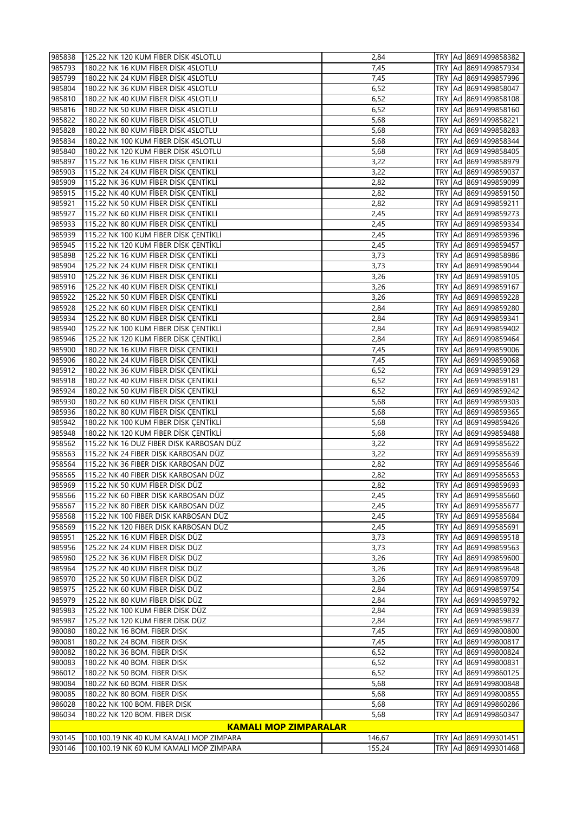| 985956 | 125.22 NK 24 KUM FİBER DİSK DÜZ          | 3,73 |            | TRY Ad 8691499859563 |
|--------|------------------------------------------|------|------------|----------------------|
| 985951 | 125.22 NK 16 KUM FİBER DİSK DÜZ          | 3,73 |            | TRY Ad 8691499859518 |
|        |                                          |      |            |                      |
| 958569 | 115.22 NK 120 FIBER DISK KARBOSAN DÜZ    | 2,45 |            | TRY Ad 8691499585691 |
|        |                                          |      |            |                      |
| 958568 | 115.22 NK 100 FIBER DISK KARBOSAN DÜZ    | 2,45 |            | TRY Ad 8691499585684 |
|        |                                          |      |            |                      |
| 958567 | 115.22 NK 80 FIBER DISK KARBOSAN DÜZ     | 2,45 |            | TRY Ad 8691499585677 |
| 958566 | 115.22 NK 60 FIBER DISK KARBOSAN DUZ     | 2,45 |            | TRY Ad 8691499585660 |
|        |                                          |      |            |                      |
| 985969 | 115.22 NK 50 KUM FIBER DISK DÜZ          | 2,82 |            | TRY Ad 8691499859693 |
| 958565 | 115.22 NK 40 FIBER DISK KARBOSAN DÜZ     | 2,82 |            |                      |
|        |                                          |      |            | TRY Ad 8691499585653 |
| 958564 | 115.22 NK 36 FIBER DISK KARBOSAN DÜZ     | 2,82 | <b>TRY</b> | Ad 8691499585646     |
| 958563 | 115.22 NK 24 FIBER DISK KARBOSAN DÜZ     | 3,22 | <b>TRY</b> | Ad 8691499585639     |
|        |                                          |      |            |                      |
| 958562 | 115.22 NK 16 DUZ FIBER DISK KARBOSAN DÜZ | 3,22 | TRY        | Ad 8691499585622     |
| 985948 | 180.22 NK 120 KUM FİBER DİSK ÇENTİKLİ    | 5,68 | TRY        | Ad 8691499859488     |
|        |                                          |      |            |                      |
| 985942 | 180.22 NK 100 KUM FIBER DISK ÇENTIKLI    | 5,68 | TRY        | Ad 8691499859426     |
|        |                                          |      |            |                      |
| 985936 | 180.22 NK 80 KUM FIBER DISK ÇENTIKLI     | 5,68 | <b>TRY</b> | Ad 8691499859365     |
|        |                                          |      |            |                      |
| 985930 | 180.22 NK 60 KUM FIBER DISK ÇENTIKLI     | 5,68 | TRY        | Ad 8691499859303     |
|        |                                          |      |            |                      |
| 985924 | 180.22 NK 50 KUM FIBER DISK ÇENTIKLI     | 6,52 | <b>TRY</b> | Ad 8691499859242     |
|        |                                          |      |            |                      |
| 985918 | 180.22 NK 40 KUM FİBER DİSK ÇENTİKLİ     | 6,52 | <b>TRY</b> | Ad 8691499859181     |
|        |                                          |      |            |                      |
| 985912 | 180.22 NK 36 KUM FIBER DISK ÇENTIKLI     | 6,52 |            | TRY Ad 8691499859129 |
|        |                                          |      |            |                      |
|        |                                          |      |            |                      |
| 985906 | 180.22 NK 24 KUM FİBER DİSK ÇENTİKLİ     | 7,45 | <b>TRY</b> | Ad 8691499859068     |
|        |                                          |      |            |                      |
|        |                                          |      |            |                      |
| 985900 | 180.22 NK 16 KUM FIBER DISK ÇENTIKLI     | 7,45 | TRY        | Ad 8691499859006     |
|        |                                          |      |            |                      |
|        |                                          |      |            |                      |
| 985946 | 125.22 NK 120 KUM FİBER DİSK ÇENTİKLİ    | 2,84 | <b>TRY</b> | Ad 8691499859464     |
|        |                                          |      |            |                      |
| 985940 | 125.22 NK 100 KUM FİBER DİSK ÇENTİKLİ    | 2,84 | TRY        | Ad 8691499859402     |
|        |                                          |      |            |                      |
|        |                                          |      |            |                      |
| 985934 | 125.22 NK 80 KUM FIBER DISK ÇENTIKLI     | 2,84 |            | TRY Ad 8691499859341 |
|        |                                          |      |            |                      |
|        |                                          |      |            |                      |
|        |                                          |      |            |                      |
| 985928 | 125.22 NK 60 KUM FİBER DİSK ÇENTİKLİ     | 2,84 | <b>TRY</b> | Ad 8691499859280     |
|        |                                          |      |            |                      |
| 985922 | 125.22 NK 50 KUM FIBER DISK ÇENTIKLI     | 3,26 | TRY        | Ad 8691499859228     |
|        |                                          |      |            |                      |
| 985916 | 125.22 NK 40 KUM FIBER DISK ÇENTIKLI     | 3,26 | <b>TRY</b> | Ad 8691499859167     |
|        |                                          |      |            |                      |
| 985910 | 125.22 NK 36 KUM FIBER DISK ÇENTIKLI     | 3,26 | TRY        | Ad 8691499859105     |
|        |                                          |      |            |                      |
| 985904 | 125.22 NK 24 KUM FİBER DİSK ÇENTİKLİ     | 3,73 |            | TRY Ad 8691499859044 |
|        |                                          |      |            |                      |
| 985898 | 125.22 NK 16 KUM FİBER DİSK ÇENTİKLİ     | 3,73 | TRY        | Ad 8691499858986     |
|        |                                          | 2,45 |            |                      |
| 985945 | 115.22 NK 120 KUM FİBER DİSK ÇENTİKLİ    |      | TRY        | Ad 8691499859457     |
|        |                                          |      |            |                      |
| 985939 | 115.22 NK 100 KUM FİBER DİSK ÇENTİKLİ    | 2,45 | <b>TRY</b> | Ad 8691499859396     |
|        |                                          |      |            |                      |
| 985933 | 115.22 NK 80 KUM FIBER DISK ÇENTIKLI     | 2,45 |            | TRY Ad 8691499859334 |
|        |                                          |      |            |                      |
|        |                                          |      |            |                      |
| 985927 | 115.22 NK 60 KUM FİBER DİSK ÇENTİKLİ     | 2,45 |            | TRY Ad 8691499859273 |
|        |                                          |      |            |                      |
| 985921 | 115.22 NK 50 KUM FIBER DISK ÇENTIKLI     | 2,82 | TRY        | Ad 8691499859211     |
|        |                                          |      |            |                      |
| 985915 | 115.22 NK 40 KUM FIBER DISK ÇENTIKLI     | 2,82 | TRY        | Ad 8691499859150     |
|        |                                          |      |            |                      |
| 985909 | 115.22 NK 36 KUM FIBER DISK ÇENTIKLI     | 2,82 | <b>TRY</b> | Ad 8691499859099     |
|        |                                          |      |            |                      |
|        |                                          |      |            |                      |
| 985903 | 115.22 NK 24 KUM FİBER DİSK ÇENTİKLİ     | 3,22 | <b>TRY</b> | Ad 8691499859037     |
|        |                                          |      |            |                      |
| 985897 | 115.22 NK 16 KUM FİBER DİSK ÇENTİKLİ     | 3,22 |            |                      |
|        |                                          |      |            | TRY Ad 8691499858979 |
|        |                                          |      |            |                      |
| 985840 | 180.22 NK 120 KUM FİBER DİSK 4SLOTLU     | 5,68 | TRY        | Ad 8691499858405     |
|        |                                          |      |            |                      |
| 985834 | 180.22 NK 100 KUM FİBER DİSK 4SLOTLU     | 5,68 | TRY        | Ad 8691499858344     |
|        |                                          |      |            |                      |
| 985828 | 180.22 NK 80 KUM FIBER DISK 4SLOTLU      | 5,68 | <b>TRY</b> | Ad 8691499858283     |
|        |                                          |      |            |                      |
| 985822 | 180.22 NK 60 KUM FIBER DISK 4SLOTLU      | 5,68 | <b>TRY</b> | Ad 8691499858221     |
|        |                                          |      |            |                      |
| 985816 | 180.22 NK 50 KUM FIBER DISK 4SLOTLU      | 6,52 |            | TRY Ad 8691499858160 |
|        |                                          |      |            |                      |
| 985810 | 180.22 NK 40 KUM FIBER DISK 4SLOTLU      | 6,52 | TRY        | Ad 8691499858108     |
|        |                                          |      |            |                      |
| 985804 | 180.22 NK 36 KUM FIBER DISK 4SLOTLU      | 6,52 |            | TRY Ad 8691499858047 |
| 985799 | 180.22 NK 24 KUM FIBER DISK 4SLOTLU      | 7,45 |            | TRY Ad 8691499857996 |
|        |                                          |      |            |                      |
| 985793 | 180.22 NK 16 KUM FIBER DISK 4SLOTLU      | 7,45 |            | TRY Ad 8691499857934 |
| 985838 | 125.22 NK 120 KUM FIBER DISK 4SLOTLU     | 2,84 |            | TRY Ad 8691499858382 |
|        |                                          |      |            |                      |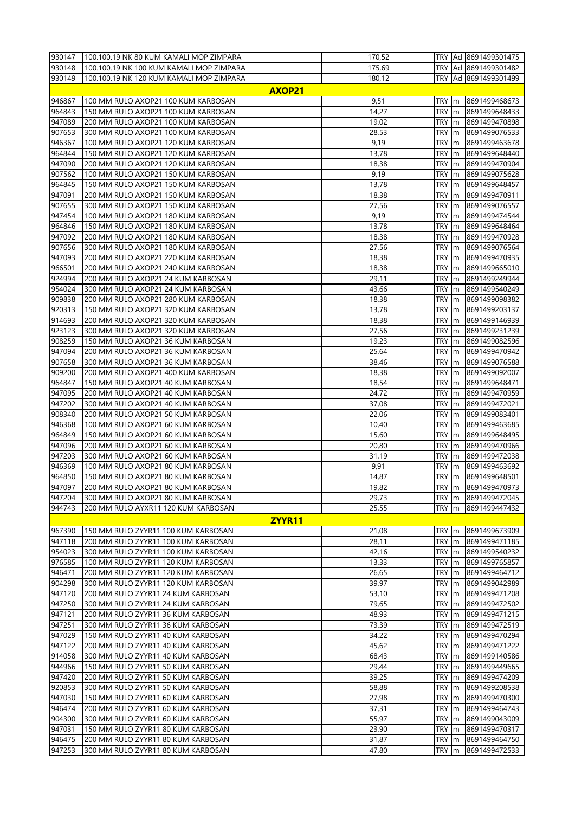| 930147 | 100.100.19 NK 80 KUM KAMALI MOP ZIMPARA  | 170,52 |            |               | TRY Ad 8691499301475  |
|--------|------------------------------------------|--------|------------|---------------|-----------------------|
| 930148 | 100.100.19 NK 100 KUM KAMALI MOP ZIMPARA | 175,69 |            |               | TRY Ad 8691499301482  |
| 930149 | 100.100.19 NK 120 KUM KAMALI MOP ZIMPARA | 180,12 |            |               | TRY Ad 8691499301499  |
|        | <b>AXOP21</b>                            |        |            |               |                       |
| 946867 | 100 MM RULO AXOP21 100 KUM KARBOSAN      | 9,51   | TRY m      |               | 8691499468673         |
| 964843 | 150 MM RULO AXOP21 100 KUM KARBOSAN      | 14,27  | TRY        | m             | 8691499648433         |
| 947089 | 200 MM RULO AXOP21 100 KUM KARBOSAN      | 19,02  | TRY m      |               | 8691499470898         |
| 907653 | 300 MM RULO AXOP21 100 KUM KARBOSAN      | 28,53  | TRY m      |               | 8691499076533         |
| 946367 | 100 MM RULO AXOP21 120 KUM KARBOSAN      | 9,19   | TRY m      |               | 8691499463678         |
| 964844 | 150 MM RULO AXOP21 120 KUM KARBOSAN      | 13,78  | TRY m      |               | 8691499648440         |
| 947090 | 200 MM RULO AXOP21 120 KUM KARBOSAN      | 18,38  | TRY        | m             | 8691499470904         |
| 907562 | 100 MM RULO AXOP21 150 KUM KARBOSAN      | 9,19   | TRY        | m             | 8691499075628         |
| 964845 | 150 MM RULO AXOP21 150 KUM KARBOSAN      | 13,78  | TRY        | m             | 8691499648457         |
| 947091 | 200 MM RULO AXOP21 150 KUM KARBOSAN      | 18,38  | TRY m      |               | 8691499470911         |
| 907655 | 300 MM RULO AXOP21 150 KUM KARBOSAN      | 27,56  | <b>TRY</b> | $\mathsf{Im}$ | 8691499076557         |
| 947454 | 100 MM RULO AXOP21 180 KUM KARBOSAN      | 9,19   | TRY        |               | 8691499474544         |
| 964846 |                                          | 13,78  | TRY        | m             |                       |
|        | 150 MM RULO AXOP21 180 KUM KARBOSAN      |        |            | m             | 8691499648464         |
| 947092 | 200 MM RULO AXOP21 180 KUM KARBOSAN      | 18,38  | TRY        | m             | 8691499470928         |
| 907656 | 300 MM RULO AXOP21 180 KUM KARBOSAN      | 27,56  | TRY m      |               | 8691499076564         |
| 947093 | 200 MM RULO AXOP21 220 KUM KARBOSAN      | 18,38  | TRY m      |               | 8691499470935         |
| 966501 | 200 MM RULO AXOP21 240 KUM KARBOSAN      | 18,38  | TRY        | m             | 8691499665010         |
| 924994 | 200 MM RULO AXOP21 24 KUM KARBOSAN       | 29,11  | TRY        | m             | 8691499249944         |
| 954024 | 300 MM RULO AXOP21 24 KUM KARBOSAN       | 43,66  | TRY        | m             | 8691499540249         |
| 909838 | 200 MM RULO AXOP21 280 KUM KARBOSAN      | 18,38  | TRY m      |               | 8691499098382         |
| 920313 | 150 MM RULO AXOP21 320 KUM KARBOSAN      | 13,78  | <b>TRY</b> | m             | 8691499203137         |
| 914693 | 200 MM RULO AXOP21 320 KUM KARBOSAN      | 18,38  | TRY        | m             | 8691499146939         |
| 923123 | 300 MM RULO AXOP21 320 KUM KARBOSAN      | 27,56  | TRY        | m             | 8691499231239         |
| 908259 | 150 MM RULO AXOP21 36 KUM KARBOSAN       | 19,23  | TRY        | m             | 8691499082596         |
| 947094 | 200 MM RULO AXOP21 36 KUM KARBOSAN       | 25,64  | TRY m      |               | 8691499470942         |
| 907658 | 300 MM RULO AXOP21 36 KUM KARBOSAN       | 38,46  | TRY        | Im            | 8691499076588         |
| 909200 | 200 MM RULO AXOP21 400 KUM KARBOSAN      | 18,38  | TRY        | m             | 8691499092007         |
| 964847 | 150 MM RULO AXOP21 40 KUM KARBOSAN       | 18,54  | TRY        | m             | 8691499648471         |
| 947095 | 200 MM RULO AXOP21 40 KUM KARBOSAN       | 24,72  | TRY        | m             | 8691499470959         |
| 947202 | 300 MM RULO AXOP21 40 KUM KARBOSAN       | 37,08  | TRY m      |               | 8691499472021         |
| 908340 | 200 MM RULO AXOP21 50 KUM KARBOSAN       | 22,06  | TRY        | m             | 8691499083401         |
| 946368 | 100 MM RULO AXOP21 60 KUM KARBOSAN       | 10,40  | TRY        | m             | 8691499463685         |
| 964849 | 150 MM RULO AXOP21 60 KUM KARBOSAN       | 15,60  | TRY        | m             | 8691499648495         |
| 947096 | 200 MM RULO AXOP21 60 KUM KARBOSAN       | 20,80  | TRY        | m             | 8691499470966         |
| 947203 | 300 MM RULO AXOP21 60 KUM KARBOSAN       | 31,19  | TRY m      |               | 8691499472038         |
| 946369 | 100 MM RULO AXOP21 80 KUM KARBOSAN       | 9,91   | TRY        | m             | 8691499463692         |
| 964850 | 150 MM RULO AXOP21 80 KUM KARBOSAN       | 14,87  | TRY m      |               | 8691499648501         |
| 947097 | 200 MM RULO AXOP21 80 KUM KARBOSAN       | 19,82  |            |               | TRY  m  8691499470973 |
| 947204 | 300 MM RULO AXOP21 80 KUM KARBOSAN       | 29,73  | TRY m      |               | 8691499472045         |
| 944743 | 200 MM RULO AYXR11 120 KUM KARBOSAN      | 25,55  | TRY m      |               | 8691499447432         |
|        | ZYYR <sub>11</sub>                       |        |            |               |                       |
| 967390 | 150 MM RULO ZYYR11 100 KUM KARBOSAN      | 21,08  | TRY m      |               | 8691499673909         |
| 947118 | 200 MM RULO ZYYR11 100 KUM KARBOSAN      | 28,11  | TRY m      |               | 8691499471185         |
| 954023 | 300 MM RULO ZYYR11 100 KUM KARBOSAN      | 42,16  | TRY m      |               | 8691499540232         |
| 976585 | 100 MM RULO ZYYR11 120 KUM KARBOSAN      | 13,33  | TRY m      |               | 8691499765857         |
| 946471 | 200 MM RULO ZYYR11 120 KUM KARBOSAN      | 26,65  | TRY m      |               | 8691499464712         |
| 904298 | 300 MM RULO ZYYR11 120 KUM KARBOSAN      | 39,97  | TRY m      |               | 8691499042989         |
| 947120 | 200 MM RULO ZYYR11 24 KUM KARBOSAN       | 53,10  | TRY m      |               | 8691499471208         |
| 947250 | 300 MM RULO ZYYR11 24 KUM KARBOSAN       | 79,65  | TRY        | m             | 8691499472502         |
| 947121 | 200 MM RULO ZYYR11 36 KUM KARBOSAN       | 48,93  | TRY m      |               | 8691499471215         |
| 947251 | 300 MM RULO ZYYR11 36 KUM KARBOSAN       | 73,39  | TRY m      |               | 8691499472519         |
| 947029 | 150 MM RULO ZYYR11 40 KUM KARBOSAN       | 34,22  | TRY m      |               | 8691499470294         |
| 947122 | 200 MM RULO ZYYR11 40 KUM KARBOSAN       | 45,62  | TRY m      |               | 8691499471222         |
| 914058 | 300 MM RULO ZYYR11 40 KUM KARBOSAN       | 68,43  | TRY        | m             | 8691499140586         |
| 944966 | 150 MM RULO ZYYR11 50 KUM KARBOSAN       | 29,44  | TRY m      |               | 8691499449665         |
| 947420 | 200 MM RULO ZYYR11 50 KUM KARBOSAN       | 39,25  | TRY m      |               | 8691499474209         |
| 920853 | 300 MM RULO ZYYR11 50 KUM KARBOSAN       | 58,88  | TRY m      |               | 8691499208538         |
| 947030 | 150 MM RULO ZYYR11 60 KUM KARBOSAN       | 27,98  | TRY m      |               | 8691499470300         |
| 946474 | 200 MM RULO ZYYR11 60 KUM KARBOSAN       | 37,31  | TRY        | m             | 8691499464743         |
| 904300 | 300 MM RULO ZYYR11 60 KUM KARBOSAN       | 55,97  | TRY m      |               | 8691499043009         |
| 947031 | 150 MM RULO ZYYR11 80 KUM KARBOSAN       | 23,90  | TRY m      |               | 8691499470317         |
| 946475 | 200 MM RULO ZYYR11 80 KUM KARBOSAN       | 31,87  | TRY m      |               | 8691499464750         |
| 947253 | 300 MM RULO ZYYR11 80 KUM KARBOSAN       | 47,80  | TRY m      |               | 8691499472533         |